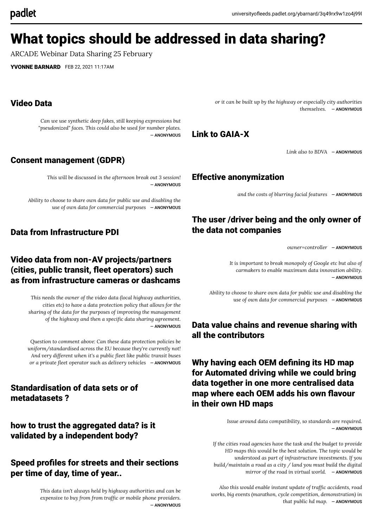# What topics should be addressed in data sharing?

ARCADE Webinar Data Sharing 25 February

[YVONNE BARNARD](https://universityofleeds.padlet.org/ybarnard) FEB 22, 2021 11:17AM

#### Video Data

*Can we use synthetic deep fakes, still keeping expressions but "pseudonized" faces. This could also be used for number plates.* ― ANONYMOUS

#### Consent management (GDPR)

*This will be discussed in the afternoon break out 3 session!* ― ANONYMOUS

*Ability to choose to share own data for public use and disabling the use of own data for commercial purposes* ― ANONYMOUS

#### Data from Infrastructure PDI

## Video data from non-AV projects/partners (cities, public transit, fleet operators) such as from infrastructure cameras or dashcams

*This needs the owner of the video data (local highway authorities, cities etc) to have a data protection policy that allows for the sharing of the data for the purposes of improving the management of the highway and then a specic data sharing agreement.* ― ANONYMOUS

*Question to comment above: Can these data protection policies be uniform/standardised across the EU because they're currently not! And very different when it's a public eet like public transit buses or a private eet operator such as delivery vehicles* ― ANONYMOUS

#### Standardisation of data sets or of metadatasets ?

# how to trust the aggregated data? is it validated by a independent body?

#### Speed profiles for streets and their sections per time of day, time of year..

*This data isn't always held by highway authorities and can be expensive* to *buy from from traffic or mobile phone providers.* ― ANONYMOUS *or it can be built up by the highway or especially city authorities themselves.* ― ANONYMOUS

# Link to GAIA-X

*Link also to BDVA* ― ANONYMOUS

#### Effective anonymization

*and the costs of blurring facial features* ― ANONYMOUS

# The user /driver being and the only owner of the data not companies

*owner=controller* ― ANONYMOUS

*It is important to break monopoly of Google etc but also of carmakers to enable maximum data innovation ability.* ― ANONYMOUS

*Ability to choose to share own data for public use and disabling the use of own data for commercial purposes* ― ANONYMOUS

# Data value chains and revenue sharing with all the contributors

Why having each OEM defining its HD map for Automated driving while we could bring data together in one more centralised data map where each OEM adds his own flavour in their own HD maps

> *Issue around data compatibility, so standards are required.* ― ANONYMOUS

*If the cities road agencies have the task and the budget to provide HD maps this would be the best solution. The topic would be understood as part of infrastructure investments. If you build/maintain a road as a city / land you must build the digital mirror of the road in virtual world.* ― ANONYMOUS

*Also this would enable instant update of trafc accidents, road works, big events (marathon, cycle competition, demonstration) in that public hd map.* ― ANONYMOUS

# padlet